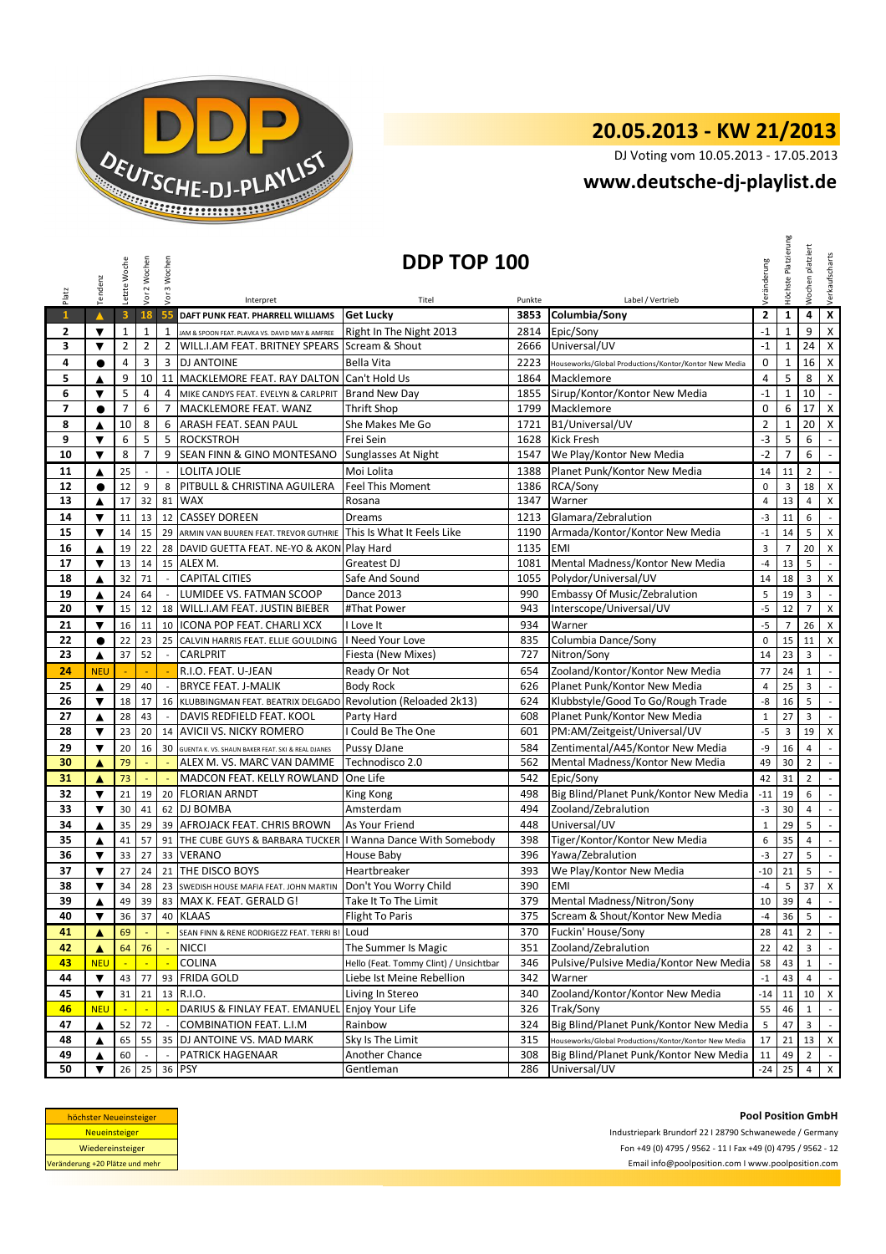

## **20.05.2013 - KW 21/2013**

DJ Voting vom 10.05.2013 - 17.05.2013

## **www.deutsche-dj-playlist.de**

|                                                                                                                                                                                                                           | Tendenz                                                                               | Letzte Woche            | Vor 2 Wochen             | Vor 3 Wochen   | DDP TOP 100                                                   |                                        |        |                                                       |                |                | platziert<br>$\mathfrak{S}$<br>Woch | Verkaufscharts              |
|---------------------------------------------------------------------------------------------------------------------------------------------------------------------------------------------------------------------------|---------------------------------------------------------------------------------------|-------------------------|--------------------------|----------------|---------------------------------------------------------------|----------------------------------------|--------|-------------------------------------------------------|----------------|----------------|-------------------------------------|-----------------------------|
| Platz                                                                                                                                                                                                                     |                                                                                       |                         |                          |                | Interpret                                                     | Titel                                  | Punkte | Label / Vertrieb                                      | Veränderung    |                |                                     |                             |
| $\mathbf{1}$                                                                                                                                                                                                              | $\blacktriangle$                                                                      | $\overline{\mathbf{3}}$ | 18                       | 55             | DAFT PUNK FEAT. PHARRELL WILLIAMS                             | <b>Get Lucky</b>                       | 3853   | Columbia/Sony                                         | $\overline{2}$ | $\mathbf{1}$   | $\overline{\mathbf{4}}$             | $\overline{\mathbf{x}}$     |
| 2                                                                                                                                                                                                                         | ▼                                                                                     | $\mathbf{1}$            | $\mathbf{1}$             | $\mathbf{1}$   | JAM & SPOON FEAT. PLAVKA VS. DAVID MAY & AMFREE               | Right In The Night 2013                | 2814   | Epic/Sony                                             | $-1$           | $\mathbf{1}$   | 9                                   | $\pmb{\mathsf{X}}$          |
| 3                                                                                                                                                                                                                         | ▼                                                                                     | $\overline{2}$          | $\overline{2}$           | $\overline{2}$ | WILL.I.AM FEAT. BRITNEY SPEARS Scream & Shout                 |                                        | 2666   | Universal/UV                                          | $-1$           | $\mathbf{1}$   | 24                                  | $\mathsf{X}$                |
| 4                                                                                                                                                                                                                         | $\bullet$                                                                             | 4                       | 3                        |                | 3 DJ ANTOINE                                                  | Bella Vita                             | 2223   | Houseworks/Global Productions/Kontor/Kontor New Media | 0              | 1              | 16 <sup>1</sup>                     | $\mathsf{X}$                |
| 5                                                                                                                                                                                                                         | ▲                                                                                     | 9                       | 10                       |                | 11 MACKLEMORE FEAT. RAY DALTON                                | Can't Hold Us                          | 1864   | Macklemore                                            | $\overline{4}$ | 5              | 8                                   | $\pmb{\chi}$                |
| 6                                                                                                                                                                                                                         | $\blacktriangledown$                                                                  | 5                       | $\overline{4}$           | 4              | MIKE CANDYS FEAT. EVELYN & CARLPRIT                           | <b>Brand New Day</b>                   | 1855   | Sirup/Kontor/Kontor New Media                         | $-1$           | $\mathbf{1}$   | 10                                  | $\omega$                    |
| 7                                                                                                                                                                                                                         | $\bullet$                                                                             | $\overline{7}$          | 6                        | $\overline{7}$ | MACKLEMORE FEAT. WANZ                                         | Thrift Shop                            | 1799   | Macklemore                                            | $\mathbf 0$    | 6              | 17 <sup>1</sup>                     | $\mathsf{X}$                |
| 8                                                                                                                                                                                                                         | ▲                                                                                     | 10                      | 8                        | 6              | ARASH FEAT. SEAN PAUL                                         | She Makes Me Go                        | 1721   | B1/Universal/UV                                       | $\overline{2}$ | $\mathbf{1}$   | 20                                  | $\mathsf{x}$                |
| 9                                                                                                                                                                                                                         | ▼                                                                                     | 6                       | 5                        | 5              | <b>ROCKSTROH</b>                                              | Frei Sein                              | 1628   | <b>Kick Fresh</b>                                     | $-3$           | 5              | 6                                   | $\mathcal{L}_{\mathcal{A}}$ |
| 10                                                                                                                                                                                                                        | $\blacktriangledown$                                                                  | 8                       | $\overline{7}$           | 9              | SEAN FINN & GINO MONTESANO Sunglasses At Night                |                                        | 1547   | We Play/Kontor New Media                              | $-2$           | $\overline{7}$ | 6                                   | $\omega$                    |
| 11                                                                                                                                                                                                                        | ▲                                                                                     | 25                      | $\overline{\phantom{a}}$ |                | LOLITA JOLIE                                                  | Moi Lolita                             | 1388   | Planet Punk/Kontor New Media                          | 14             | 11             | $\overline{2}$                      | $\mathcal{L}_{\mathcal{A}}$ |
| 12                                                                                                                                                                                                                        | $\bullet$                                                                             | 12                      | 9                        | 8              | PITBULL & CHRISTINA AGUILERA                                  | <b>Feel This Moment</b>                | 1386   | RCA/Sony                                              | $\mathbf 0$    | 3              | 18                                  | $\mathsf{x}$                |
| 13                                                                                                                                                                                                                        | ▲                                                                                     | 17                      | 32                       |                | 81 WAX                                                        | Rosana                                 | 1347   | Warner                                                | $\overline{4}$ | 13             | $\overline{4}$                      | X                           |
| 14                                                                                                                                                                                                                        | ▼                                                                                     | 11                      | 13                       |                | 12 CASSEY DOREEN                                              | Dreams                                 | 1213   | Glamara/Zebralution                                   | $-3$           | 11             | 6                                   | $\sim$                      |
| 15                                                                                                                                                                                                                        | $\blacktriangledown$                                                                  | 14                      | 15                       |                | 29 ARMIN VAN BUUREN FEAT. TREVOR GUTHRIE                      | This Is What It Feels Like             | 1190   | Armada/Kontor/Kontor New Media                        | $-1$           | 14             | 5                                   | $\boldsymbol{\mathsf{x}}$   |
| 16                                                                                                                                                                                                                        | ▲                                                                                     | 19                      | 22                       |                | 28 DAVID GUETTA FEAT. NE-YO & AKON Play Hard                  |                                        | 1135   | <b>EMI</b>                                            | $\overline{3}$ | $\overline{7}$ | 20                                  | X                           |
| 17                                                                                                                                                                                                                        | $\blacktriangledown$                                                                  | 13                      | 14                       |                | 15 ALEX M.                                                    | <b>Greatest DJ</b>                     | 1081   | Mental Madness/Kontor New Media                       | $-4$           | 13             | 5                                   | $\mathcal{L}$               |
| 18                                                                                                                                                                                                                        | ▲                                                                                     | 32                      | 71                       | $\sim$         | <b>CAPITAL CITIES</b>                                         | Safe And Sound                         | 1055   | Polydor/Universal/UV                                  | 14             | 18             | 3                                   | X                           |
| 19                                                                                                                                                                                                                        | ▲                                                                                     | 24                      | 64                       |                | LUMIDEE VS. FATMAN SCOOP                                      | <b>Dance 2013</b>                      | 990    | Embassy Of Music/Zebralution                          | 5              | 19             | 3                                   | $\sim$                      |
| 20                                                                                                                                                                                                                        | ▼                                                                                     | 15                      | 12                       |                | 18 WILL.I.AM FEAT. JUSTIN BIEBER                              | #That Power                            | 943    | Interscope/Universal/UV                               | $-5$           | 12             | $\overline{7}$                      | $\mathsf{x}$                |
| 21                                                                                                                                                                                                                        | $\blacktriangledown$                                                                  | 16                      | 11                       |                | 10   ICONA POP FEAT. CHARLI XCX                               | I Love It                              | 934    | Warner                                                | $-5$           | $\overline{7}$ | 26                                  | $\mathsf{X}$                |
| 22                                                                                                                                                                                                                        | $\bullet$                                                                             | 22                      | 23                       |                | 25 CALVIN HARRIS FEAT. ELLIE GOULDING                         | I Need Your Love                       | 835    | Columbia Dance/Sony                                   | $\mathbf 0$    | 15             | 11                                  | $\boldsymbol{\mathsf{x}}$   |
| 23                                                                                                                                                                                                                        | ▲                                                                                     | 37                      | 52                       |                | <b>CARLPRIT</b>                                               | Fiesta (New Mixes)                     | 727    | Nitron/Sony                                           | 14             | 23             | 3                                   | $\mathbb{Z}^2$              |
| 24                                                                                                                                                                                                                        | <b>NEU</b>                                                                            |                         |                          |                | R.I.O. FEAT. U-JEAN                                           | Ready Or Not                           | 654    | Zooland/Kontor/Kontor New Media                       | 77             | 24             | $\mathbf{1}$                        | $\sim$                      |
| 25                                                                                                                                                                                                                        | ▲                                                                                     | 29                      | 40                       |                | <b>BRYCE FEAT. J-MALIK</b>                                    | <b>Body Rock</b>                       | 626    | Planet Punk/Kontor New Media                          | $\overline{4}$ | 25             | 3                                   | $\sim$                      |
| 26                                                                                                                                                                                                                        | ▼                                                                                     | 18                      | 17                       |                | 16 KLUBBINGMAN FEAT. BEATRIX DELGADO                          | <b>Revolution (Reloaded 2k13)</b>      | 624    | Klubbstyle/Good To Go/Rough Trade                     | -8             | 16             | 5                                   | $\sim$                      |
| 27                                                                                                                                                                                                                        | ▲                                                                                     | 28                      | 43                       |                | DAVIS REDFIELD FEAT. KOOL                                     | Party Hard                             | 608    | Planet Punk/Kontor New Media                          | $\mathbf{1}$   | 27             | 3                                   | $\mathbb{Z}^+$              |
| 28                                                                                                                                                                                                                        | ▼                                                                                     | 23                      | 20                       | 14             | <b>AVICII VS. NICKY ROMERO</b>                                | I Could Be The One                     | 601    | PM:AM/Zeitgeist/Universal/UV                          | $-5$           | 3              | 19                                  | $\times$                    |
| 29                                                                                                                                                                                                                        | $\blacktriangledown$                                                                  | 20                      | 16                       | 30             | GUENTA K. VS. SHAUN BAKER FEAT. SKI & REAL DJANES             | Pussy DJane                            | 584    | Zentimental/A45/Kontor New Media                      | -9             | 16             | $\overline{4}$                      | $\mathcal{L}_{\mathcal{A}}$ |
| 30                                                                                                                                                                                                                        | A                                                                                     | 79                      |                          |                | ALEX M. VS. MARC VAN DAMME                                    | Technodisco 2.0                        | 562    | Mental Madness/Kontor New Media                       | 49             | 30             | $\overline{2}$                      | $\mathbb{Z}^2$              |
| 31                                                                                                                                                                                                                        | ▲                                                                                     | 73                      |                          |                | MADCON FEAT. KELLY ROWLAND                                    | One Life                               | 542    | Epic/Sony                                             | 42             | 31             | $\overline{2}$                      | $\mathcal{L}^{\mathcal{L}}$ |
| 32                                                                                                                                                                                                                        | $\blacktriangledown$                                                                  | 21                      | 19                       |                | 20 FLORIAN ARNDT                                              | King Kong                              | 498    | Big Blind/Planet Punk/Kontor New Media                | $-11$          | 19             | 6                                   | $\sim$                      |
| 33                                                                                                                                                                                                                        | $\blacktriangledown$                                                                  | 30                      | 41                       |                | 62 DJ BOMBA                                                   | Amsterdam                              | 494    | Zooland/Zebralution                                   | $-3$           | 30             | 4                                   | $\sim$                      |
| 34                                                                                                                                                                                                                        | ▲                                                                                     | 35                      | 29                       |                | 39 AFROJACK FEAT. CHRIS BROWN                                 | As Your Friend                         | 448    | Universal/UV                                          | $\mathbf{1}$   | 29             | 5                                   | $\sim$                      |
| 35                                                                                                                                                                                                                        | ▲                                                                                     | 41                      | 57                       |                | 91 THE CUBE GUYS & BARBARA TUCKER I Wanna Dance With Somebody |                                        | 398    | Tiger/Kontor/Kontor New Media                         | 6              | 35             | $\overline{4}$                      | $\mathbb{Z}^2$              |
| 36                                                                                                                                                                                                                        | $\blacktriangledown$                                                                  | 33                      | 27                       |                | 33 VERANO                                                     | House Baby                             | 396    | Yawa/Zebralution                                      | $-3$           | 27             | 5                                   | $\mathbb{Z}^2$              |
| 37                                                                                                                                                                                                                        | $\blacktriangledown$                                                                  | 27                      | 24                       |                | 21 THE DISCO BOYS                                             | Heartbreaker                           | 393    | We Play/Kontor New Media                              | $-10$          | 21             | 5                                   | $\sim$                      |
| 38                                                                                                                                                                                                                        | $\blacktriangledown$                                                                  | 34                      | 28                       |                | 23 SWEDISH HOUSE MAFIA FEAT. JOHN MARTIN                      | Don't You Worry Child                  | 390    | <b>EMI</b>                                            | $-4$           | 5              | 37 X                                |                             |
| 39                                                                                                                                                                                                                        |                                                                                       | 49                      | 39                       |                | 83 MAX K. FEAT. GERALD G!                                     | Take It To The Limit                   | 379    | Mental Madness/Nitron/Sony                            | 10             | 39             | $\overline{4}$                      | $\bar{\mathcal{A}}$         |
| 40                                                                                                                                                                                                                        | ▼                                                                                     | 36                      | 37                       |                | 40 KLAAS                                                      | <b>Flight To Paris</b>                 | 375    | Scream & Shout/Kontor New Media                       | $-4$           | 36             | 5                                   | $\sim$                      |
| 41                                                                                                                                                                                                                        | ▲                                                                                     | 69                      |                          |                | SEAN FINN & RENE RODRIGEZZ FEAT. TERRI B!                     | Loud                                   | 370    | Fuckin' House/Sony                                    | 28             | 41             | $\overline{2}$                      | $\sim$                      |
| 42                                                                                                                                                                                                                        | ▲                                                                                     | 64                      | 76                       | $\sim$         | <b>NICCI</b>                                                  | The Summer Is Magic                    | 351    | Zooland/Zebralution                                   | 22             | 42             | 3                                   | $\sim$                      |
| 43                                                                                                                                                                                                                        | <b>NEU</b>                                                                            |                         |                          |                | COLINA                                                        | Hello (Feat. Tommy Clint) / Unsichtbar | 346    | Pulsive/Pulsive Media/Kontor New Media                | 58             | 43             | $\mathbf{1}$                        | $\sim$                      |
| 44                                                                                                                                                                                                                        | $\blacktriangledown$                                                                  | 43                      | 77                       | 93             | <b>FRIDA GOLD</b>                                             | Liebe Ist Meine Rebellion              | 342    | Warner                                                | $^{\rm -1}$    | 43             | 4                                   | $\sim$                      |
| 45                                                                                                                                                                                                                        | $\blacktriangledown$                                                                  | 31                      | 21                       |                | 13 R.I.O.                                                     | Living In Stereo                       | 340    | Zooland/Kontor/Kontor New Media                       | $-14$          | 11             | 10                                  | $\mathsf{x}$                |
| 46                                                                                                                                                                                                                        | <b>NEU</b>                                                                            |                         |                          |                | DARIUS & FINLAY FEAT. EMANUEL                                 | Enjoy Your Life                        | 326    | Trak/Sony                                             | 55             | 46             | $\mathbf{1}$                        | $\mathbb{Z}^+$              |
| 47                                                                                                                                                                                                                        | ▲                                                                                     | 52                      | 72                       |                | COMBINATION FEAT. L.I.M                                       | Rainbow                                | 324    | Big Blind/Planet Punk/Kontor New Media                | 5              | 47             | 3                                   | $\mathbb{L}$                |
| 48                                                                                                                                                                                                                        | ▲                                                                                     | 65                      | 55                       | 35             | DJ ANTOINE VS. MAD MARK                                       | Sky Is The Limit                       | 315    | Houseworks/Global Productions/Kontor/Kontor New Media | 17             | 21             | 13                                  | $\mathsf{X}$                |
| 49                                                                                                                                                                                                                        | ▲                                                                                     | 60                      |                          |                | PATRICK HAGENAAR                                              | Another Chance                         | 308    | Big Blind/Planet Punk/Kontor New Media                | 11             | 49             | $\overline{2}$                      | $\sim$                      |
| 50                                                                                                                                                                                                                        | ▼                                                                                     | 26                      | 25                       |                | 36 PSY                                                        | Gentleman                              | 286    | Universal/UV                                          | $-24$          | 25             | 4                                   | $\mathsf{x}$                |
| <b>Pool Position GmbH</b><br>höchster Neueinsteiger<br><b>Neueinsteiger</b><br>Industriepark Brundorf 22   28790 Schwanewede / Germany<br>Fon +49 (0) 4795 / 9562 - 11   Fax +49 (0) 4795 / 9562 - 12<br>Wiedereinsteiger |                                                                                       |                         |                          |                |                                                               |                                        |        |                                                       |                |                |                                     |                             |
|                                                                                                                                                                                                                           | Email info@poolposition.com I www.poolposition.com<br>Veränderung +20 Plätze und mehr |                         |                          |                |                                                               |                                        |        |                                                       |                |                |                                     |                             |

| höchster Neueinsteiger          |
|---------------------------------|
| <b>Neueinsteiger</b>            |
| Wiedereinsteiger                |
| Veränderung +20 Plätze und mehr |